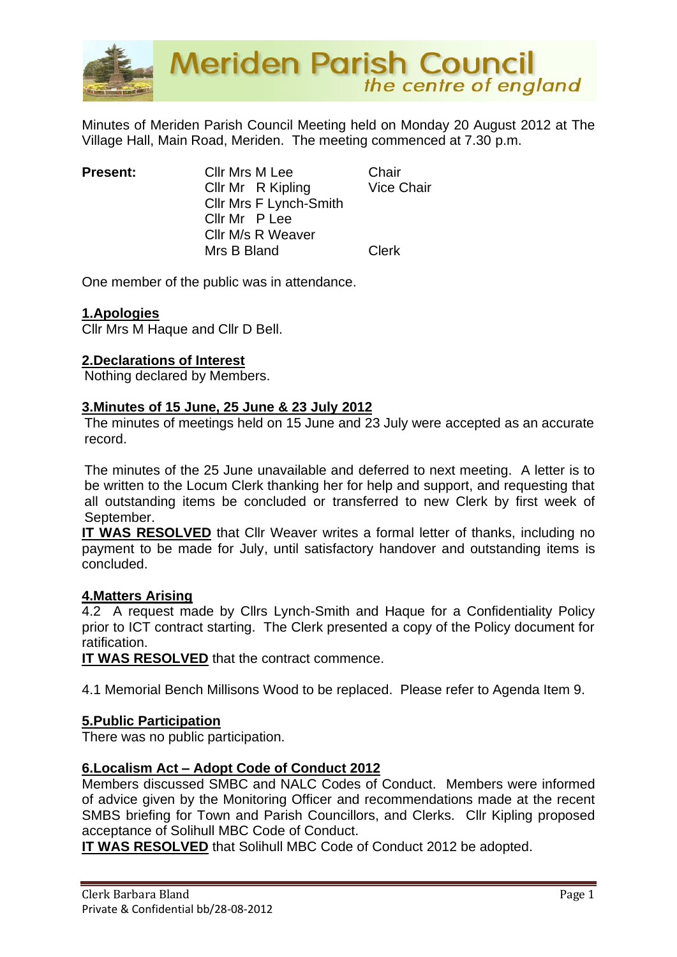

Minutes of Meriden Parish Council Meeting held on Monday 20 August 2012 at The Village Hall, Main Road, Meriden. The meeting commenced at 7.30 p.m.

| Cllr Mrs M Lee                                               | Chair             |
|--------------------------------------------------------------|-------------------|
| Cllr Mr R Kipling                                            | <b>Vice Chair</b> |
| Cllr Mrs F Lynch-Smith<br>Cllr Mr P Lee<br>Cllr M/s R Weaver |                   |
|                                                              |                   |
|                                                              |                   |
| Mrs B Bland                                                  | <b>Clerk</b>      |
|                                                              |                   |

One member of the public was in attendance.

## **1.Apologies**

Cllr Mrs M Haque and Cllr D Bell.

## **2.Declarations of Interest**

Nothing declared by Members.

#### **3.Minutes of 15 June, 25 June & 23 July 2012**

The minutes of meetings held on 15 June and 23 July were accepted as an accurate record.

The minutes of the 25 June unavailable and deferred to next meeting. A letter is to be written to the Locum Clerk thanking her for help and support, and requesting that all outstanding items be concluded or transferred to new Clerk by first week of September.

**IT WAS RESOLVED** that Cllr Weaver writes a formal letter of thanks, including no payment to be made for July, until satisfactory handover and outstanding items is concluded.

#### **4.Matters Arising**

4.2 A request made by Cllrs Lynch-Smith and Haque for a Confidentiality Policy prior to ICT contract starting. The Clerk presented a copy of the Policy document for ratification.

**IT WAS RESOLVED** that the contract commence.

4.1 Memorial Bench Millisons Wood to be replaced. Please refer to Agenda Item 9.

## **5.Public Participation**

There was no public participation.

## **6.Localism Act – Adopt Code of Conduct 2012**

Members discussed SMBC and NALC Codes of Conduct. Members were informed of advice given by the Monitoring Officer and recommendations made at the recent SMBS briefing for Town and Parish Councillors, and Clerks. Cllr Kipling proposed acceptance of Solihull MBC Code of Conduct.

**IT WAS RESOLVED** that Solihull MBC Code of Conduct 2012 be adopted.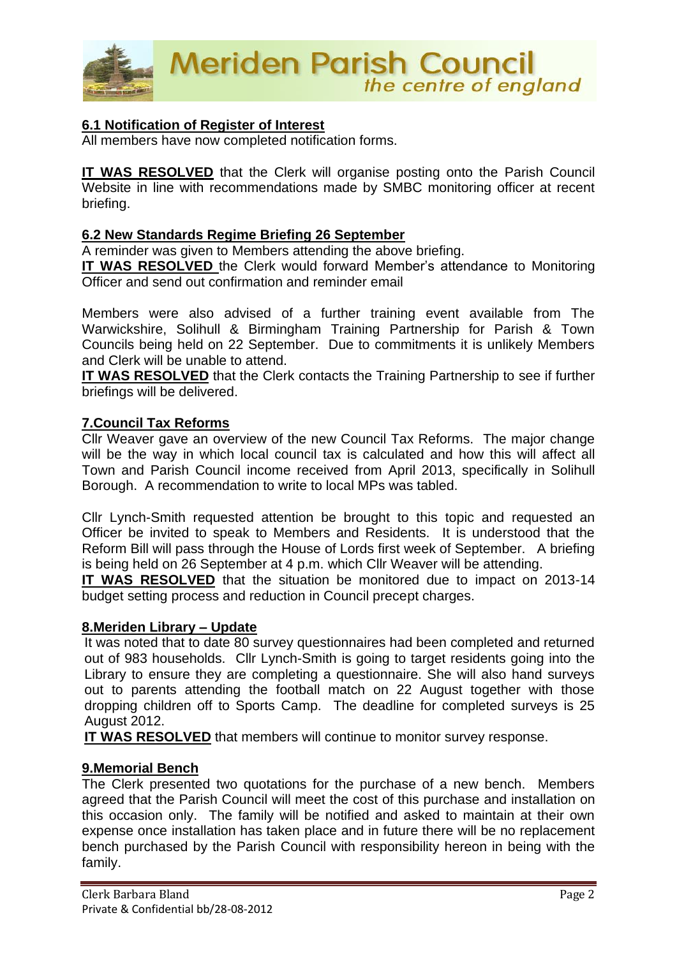

## **6.1 Notification of Register of Interest**

All members have now completed notification forms.

**IT WAS RESOLVED** that the Clerk will organise posting onto the Parish Council Website in line with recommendations made by SMBC monitoring officer at recent briefing.

#### **6.2 New Standards Regime Briefing 26 September**

A reminder was given to Members attending the above briefing.

**IT WAS RESOLVED** the Clerk would forward Member's attendance to Monitoring Officer and send out confirmation and reminder email

Members were also advised of a further training event available from The Warwickshire, Solihull & Birmingham Training Partnership for Parish & Town Councils being held on 22 September. Due to commitments it is unlikely Members and Clerk will be unable to attend.

**IT WAS RESOLVED** that the Clerk contacts the Training Partnership to see if further briefings will be delivered.

#### **7.Council Tax Reforms**

Cllr Weaver gave an overview of the new Council Tax Reforms. The major change will be the way in which local council tax is calculated and how this will affect all Town and Parish Council income received from April 2013, specifically in Solihull Borough. A recommendation to write to local MPs was tabled.

Cllr Lynch-Smith requested attention be brought to this topic and requested an Officer be invited to speak to Members and Residents. It is understood that the Reform Bill will pass through the House of Lords first week of September. A briefing is being held on 26 September at 4 p.m. which Cllr Weaver will be attending.

**IT WAS RESOLVED** that the situation be monitored due to impact on 2013-14 budget setting process and reduction in Council precept charges.

## **8.Meriden Library – Update**

It was noted that to date 80 survey questionnaires had been completed and returned out of 983 households. Cllr Lynch-Smith is going to target residents going into the Library to ensure they are completing a questionnaire. She will also hand surveys out to parents attending the football match on 22 August together with those dropping children off to Sports Camp. The deadline for completed surveys is 25 August 2012.

**IT WAS RESOLVED** that members will continue to monitor survey response.

#### **9.Memorial Bench**

The Clerk presented two quotations for the purchase of a new bench. Members agreed that the Parish Council will meet the cost of this purchase and installation on this occasion only. The family will be notified and asked to maintain at their own expense once installation has taken place and in future there will be no replacement bench purchased by the Parish Council with responsibility hereon in being with the family.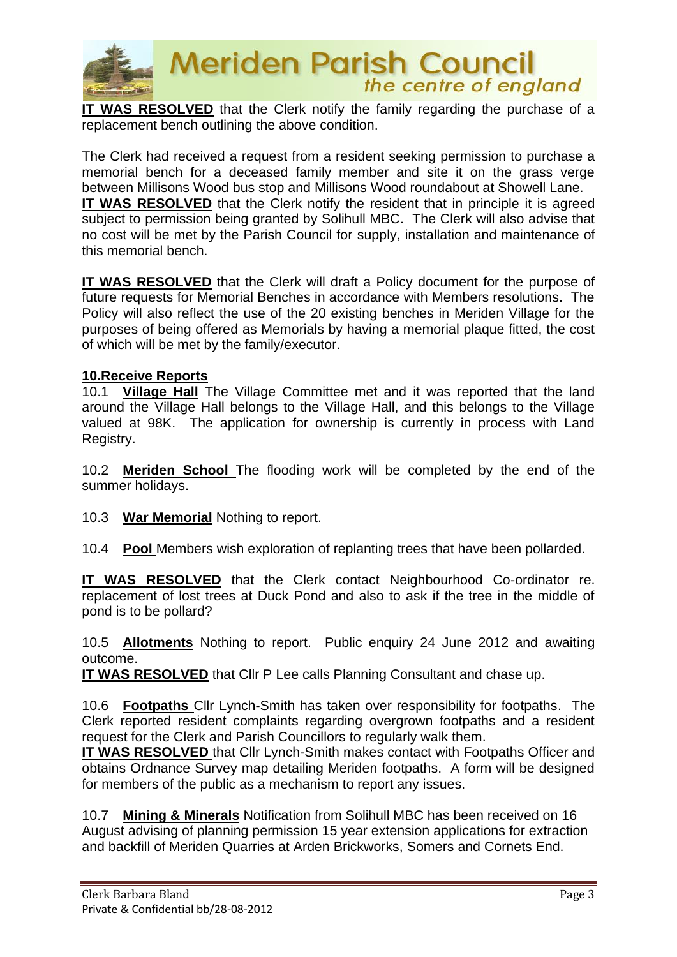

# **Meriden Parish Council** the centre of england

**IT WAS RESOLVED** that the Clerk notify the family regarding the purchase of a replacement bench outlining the above condition.

The Clerk had received a request from a resident seeking permission to purchase a memorial bench for a deceased family member and site it on the grass verge between Millisons Wood bus stop and Millisons Wood roundabout at Showell Lane. **IT WAS RESOLVED** that the Clerk notify the resident that in principle it is agreed subject to permission being granted by Solihull MBC. The Clerk will also advise that no cost will be met by the Parish Council for supply, installation and maintenance of this memorial bench.

**IT WAS RESOLVED** that the Clerk will draft a Policy document for the purpose of future requests for Memorial Benches in accordance with Members resolutions. The Policy will also reflect the use of the 20 existing benches in Meriden Village for the purposes of being offered as Memorials by having a memorial plaque fitted, the cost of which will be met by the family/executor.

## **10.Receive Reports**

10.1 **Village Hall** The Village Committee met and it was reported that the land around the Village Hall belongs to the Village Hall, and this belongs to the Village valued at 98K. The application for ownership is currently in process with Land Registry.

10.2 **Meriden School** The flooding work will be completed by the end of the summer holidays.

10.3 **War Memorial** Nothing to report.

10.4 **Pool** Members wish exploration of replanting trees that have been pollarded.

**IT WAS RESOLVED** that the Clerk contact Neighbourhood Co-ordinator re. replacement of lost trees at Duck Pond and also to ask if the tree in the middle of pond is to be pollard?

10.5 **Allotments** Nothing to report. Public enquiry 24 June 2012 and awaiting outcome.

**IT WAS RESOLVED** that Cllr P Lee calls Planning Consultant and chase up.

10.6 **Footpaths** Cllr Lynch-Smith has taken over responsibility for footpaths. The Clerk reported resident complaints regarding overgrown footpaths and a resident request for the Clerk and Parish Councillors to regularly walk them.

**IT WAS RESOLVED** that Cllr Lynch-Smith makes contact with Footpaths Officer and obtains Ordnance Survey map detailing Meriden footpaths. A form will be designed for members of the public as a mechanism to report any issues.

10.7 **Mining & Minerals** Notification from Solihull MBC has been received on 16 August advising of planning permission 15 year extension applications for extraction and backfill of Meriden Quarries at Arden Brickworks, Somers and Cornets End.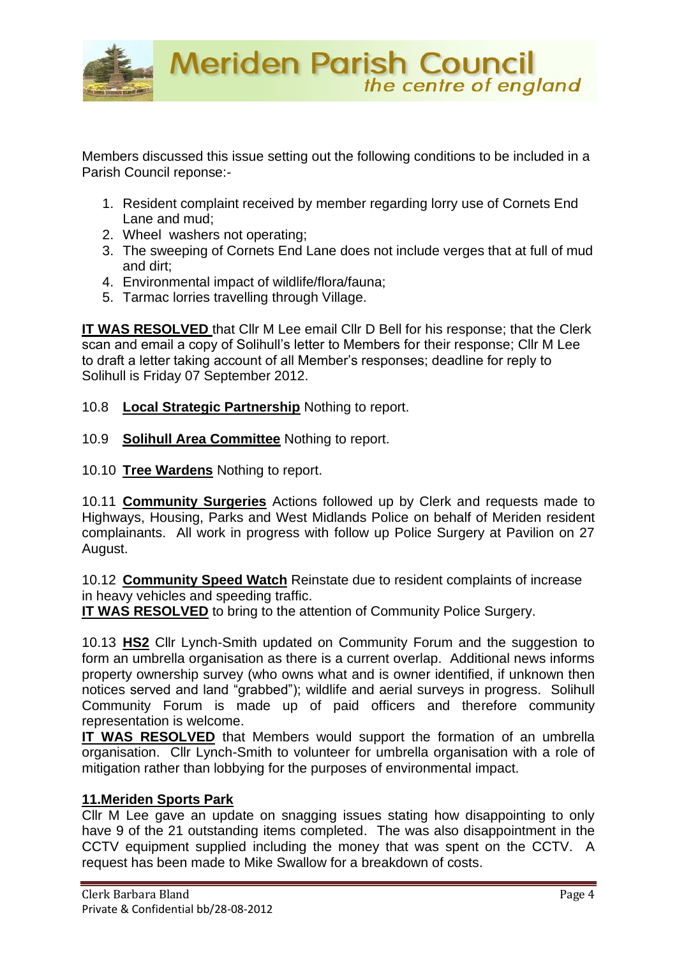

Members discussed this issue setting out the following conditions to be included in a Parish Council reponse:-

- 1. Resident complaint received by member regarding lorry use of Cornets End Lane and mud;
- 2. Wheel washers not operating;
- 3. The sweeping of Cornets End Lane does not include verges that at full of mud and dirt;
- 4. Environmental impact of wildlife/flora/fauna;
- 5. Tarmac lorries travelling through Village.

**IT WAS RESOLVED** that Cllr M Lee email Cllr D Bell for his response; that the Clerk scan and email a copy of Solihull's letter to Members for their response; Cllr M Lee to draft a letter taking account of all Member's responses; deadline for reply to Solihull is Friday 07 September 2012.

- 10.8 **Local Strategic Partnership** Nothing to report.
- 10.9 **Solihull Area Committee** Nothing to report.
- 10.10 **Tree Wardens** Nothing to report.

10.11 **Community Surgeries** Actions followed up by Clerk and requests made to Highways, Housing, Parks and West Midlands Police on behalf of Meriden resident complainants. All work in progress with follow up Police Surgery at Pavilion on 27 August.

10.12 **Community Speed Watch** Reinstate due to resident complaints of increase in heavy vehicles and speeding traffic.

**IT WAS RESOLVED** to bring to the attention of Community Police Surgery.

10.13 **HS2** Cllr Lynch-Smith updated on Community Forum and the suggestion to form an umbrella organisation as there is a current overlap. Additional news informs property ownership survey (who owns what and is owner identified, if unknown then notices served and land "grabbed"); wildlife and aerial surveys in progress. Solihull Community Forum is made up of paid officers and therefore community representation is welcome.

**IT WAS RESOLVED** that Members would support the formation of an umbrella organisation. Cllr Lynch-Smith to volunteer for umbrella organisation with a role of mitigation rather than lobbying for the purposes of environmental impact.

## **11.Meriden Sports Park**

Cllr M Lee gave an update on snagging issues stating how disappointing to only have 9 of the 21 outstanding items completed. The was also disappointment in the CCTV equipment supplied including the money that was spent on the CCTV. A request has been made to Mike Swallow for a breakdown of costs.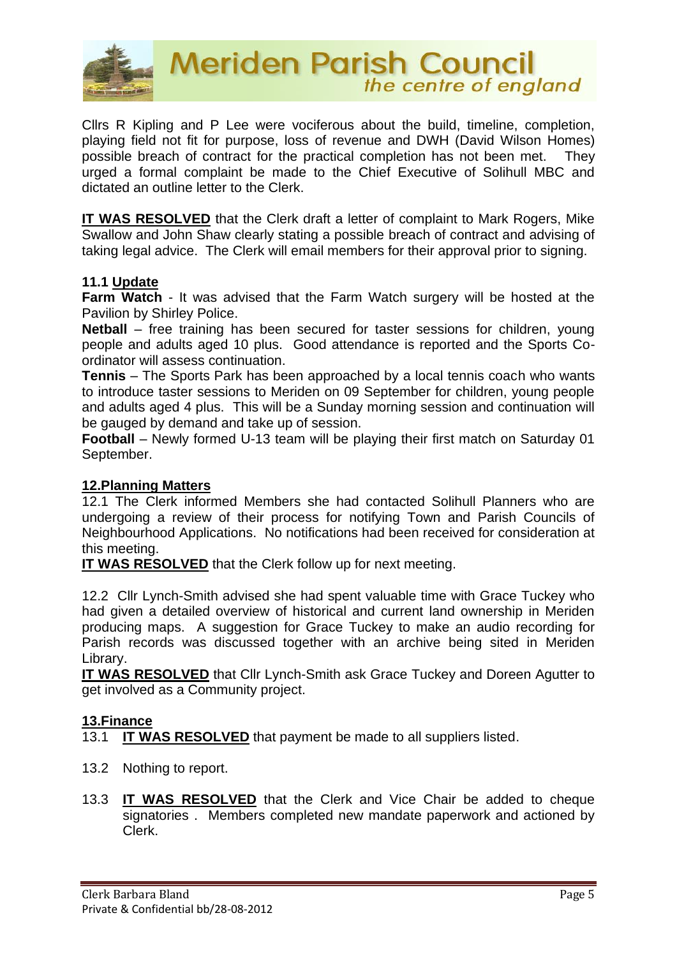

Cllrs R Kipling and P Lee were vociferous about the build, timeline, completion, playing field not fit for purpose, loss of revenue and DWH (David Wilson Homes) possible breach of contract for the practical completion has not been met. They urged a formal complaint be made to the Chief Executive of Solihull MBC and dictated an outline letter to the Clerk.

**IT WAS RESOLVED** that the Clerk draft a letter of complaint to Mark Rogers, Mike Swallow and John Shaw clearly stating a possible breach of contract and advising of taking legal advice. The Clerk will email members for their approval prior to signing.

## **11.1 Update**

**Farm Watch** - It was advised that the Farm Watch surgery will be hosted at the Pavilion by Shirley Police.

**Netball** – free training has been secured for taster sessions for children, young people and adults aged 10 plus. Good attendance is reported and the Sports Coordinator will assess continuation.

**Tennis** – The Sports Park has been approached by a local tennis coach who wants to introduce taster sessions to Meriden on 09 September for children, young people and adults aged 4 plus. This will be a Sunday morning session and continuation will be gauged by demand and take up of session.

**Football** – Newly formed U-13 team will be playing their first match on Saturday 01 September.

## **12.Planning Matters**

12.1 The Clerk informed Members she had contacted Solihull Planners who are undergoing a review of their process for notifying Town and Parish Councils of Neighbourhood Applications. No notifications had been received for consideration at this meeting.

**IT WAS RESOLVED** that the Clerk follow up for next meeting.

12.2 Cllr Lynch-Smith advised she had spent valuable time with Grace Tuckey who had given a detailed overview of historical and current land ownership in Meriden producing maps. A suggestion for Grace Tuckey to make an audio recording for Parish records was discussed together with an archive being sited in Meriden Library.

**IT WAS RESOLVED** that Cllr Lynch-Smith ask Grace Tuckey and Doreen Agutter to get involved as a Community project.

## **13.Finance**

13.1 **IT WAS RESOLVED** that payment be made to all suppliers listed.

- 13.2 Nothing to report.
- 13.3 **IT WAS RESOLVED** that the Clerk and Vice Chair be added to cheque signatories . Members completed new mandate paperwork and actioned by Clerk.